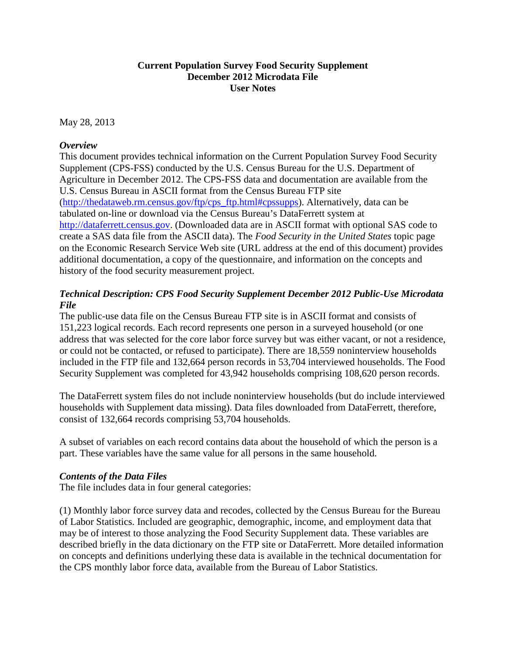## **Current Population Survey Food Security Supplement December 2012 Microdata File User Notes**

May 28, 2013

## *Overview*

This document provides technical information on the Current Population Survey Food Security Supplement (CPS-FSS) conducted by the U.S. Census Bureau for the U.S. Department of Agriculture in December 2012. The CPS-FSS data and documentation are available from the U.S. Census Bureau in ASCII format from the Census Bureau FTP site [\(http://thedataweb.rm.census.gov/ftp/cps\\_ftp.html#cpssupps\)](http://thedataweb.rm.census.gov/ftp/cps_ftp.html#cpssupps). Alternatively, data can be tabulated on-line or download via the Census Bureau's DataFerrett system at [http://dataferrett.census.gov.](http://dataferrett.census.gov/) (Downloaded data are in ASCII format with optional SAS code to create a SAS data file from the ASCII data). The *Food Security in the United States* topic page on the Economic Research Service Web site (URL address at the end of this document) provides additional documentation, a copy of the questionnaire, and information on the concepts and history of the food security measurement project.

# *Technical Description: CPS Food Security Supplement December 2012 Public-Use Microdata File*

The public-use data file on the Census Bureau FTP site is in ASCII format and consists of 151,223 logical records. Each record represents one person in a surveyed household (or one address that was selected for the core labor force survey but was either vacant, or not a residence, or could not be contacted, or refused to participate). There are 18,559 noninterview households included in the FTP file and 132,664 person records in 53,704 interviewed households. The Food Security Supplement was completed for 43,942 households comprising 108,620 person records.

The DataFerrett system files do not include noninterview households (but do include interviewed households with Supplement data missing). Data files downloaded from DataFerrett, therefore, consist of 132,664 records comprising 53,704 households.

A subset of variables on each record contains data about the household of which the person is a part. These variables have the same value for all persons in the same household.

## *Contents of the Data Files*

The file includes data in four general categories:

(1) Monthly labor force survey data and recodes, collected by the Census Bureau for the Bureau of Labor Statistics. Included are geographic, demographic, income, and employment data that may be of interest to those analyzing the Food Security Supplement data. These variables are described briefly in the data dictionary on the FTP site or DataFerrett. More detailed information on concepts and definitions underlying these data is available in the technical documentation for the CPS monthly labor force data, available from the Bureau of Labor Statistics.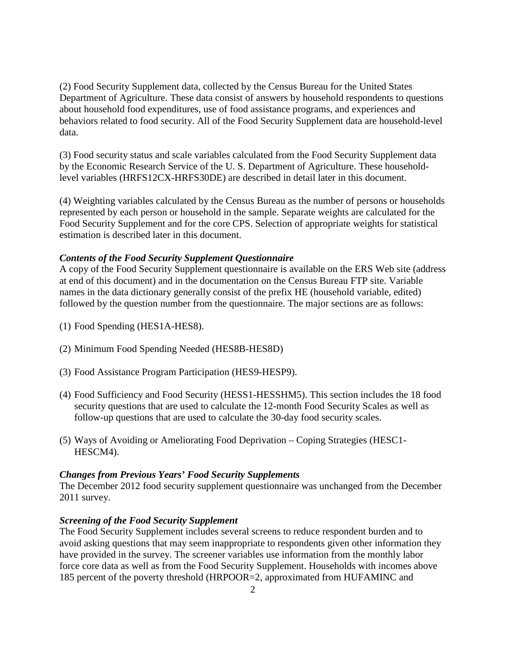(2) Food Security Supplement data, collected by the Census Bureau for the United States Department of Agriculture. These data consist of answers by household respondents to questions about household food expenditures, use of food assistance programs, and experiences and behaviors related to food security. All of the Food Security Supplement data are household-level data.

(3) Food security status and scale variables calculated from the Food Security Supplement data by the Economic Research Service of the U. S. Department of Agriculture. These householdlevel variables (HRFS12CX-HRFS30DE) are described in detail later in this document.

(4) Weighting variables calculated by the Census Bureau as the number of persons or households represented by each person or household in the sample. Separate weights are calculated for the Food Security Supplement and for the core CPS. Selection of appropriate weights for statistical estimation is described later in this document.

#### *Contents of the Food Security Supplement Questionnaire*

A copy of the Food Security Supplement questionnaire is available on the ERS Web site (address at end of this document) and in the documentation on the Census Bureau FTP site. Variable names in the data dictionary generally consist of the prefix HE (household variable, edited) followed by the question number from the questionnaire. The major sections are as follows:

- (1) Food Spending (HES1A-HES8).
- (2) Minimum Food Spending Needed (HES8B-HES8D)
- (3) Food Assistance Program Participation (HES9-HESP9).
- (4) Food Sufficiency and Food Security (HESS1-HESSHM5). This section includes the 18 food security questions that are used to calculate the 12-month Food Security Scales as well as follow-up questions that are used to calculate the 30-day food security scales.
- (5) Ways of Avoiding or Ameliorating Food Deprivation Coping Strategies (HESC1- HESCM4).

### *Changes from Previous Years' Food Security Supplements*

The December 2012 food security supplement questionnaire was unchanged from the December 2011 survey.

#### *Screening of the Food Security Supplement*

The Food Security Supplement includes several screens to reduce respondent burden and to avoid asking questions that may seem inappropriate to respondents given other information they have provided in the survey. The screener variables use information from the monthly labor force core data as well as from the Food Security Supplement. Households with incomes above 185 percent of the poverty threshold (HRPOOR=2, approximated from HUFAMINC and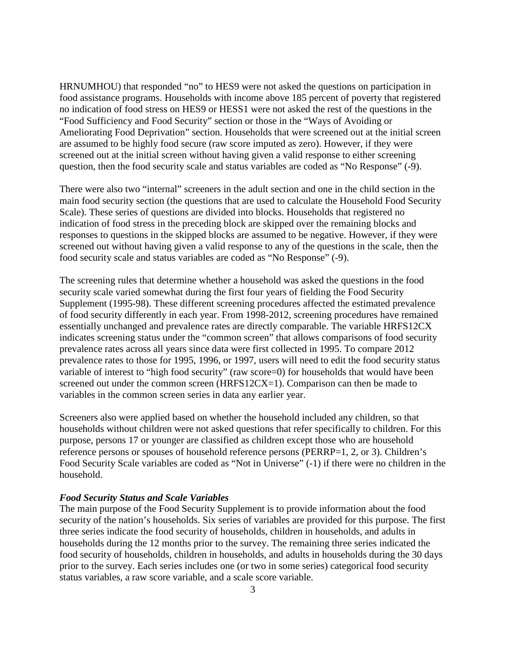HRNUMHOU) that responded "no" to HES9 were not asked the questions on participation in food assistance programs. Households with income above 185 percent of poverty that registered no indication of food stress on HES9 or HESS1 were not asked the rest of the questions in the "Food Sufficiency and Food Security" section or those in the "Ways of Avoiding or Ameliorating Food Deprivation" section. Households that were screened out at the initial screen are assumed to be highly food secure (raw score imputed as zero). However, if they were screened out at the initial screen without having given a valid response to either screening question, then the food security scale and status variables are coded as "No Response" (-9).

There were also two "internal" screeners in the adult section and one in the child section in the main food security section (the questions that are used to calculate the Household Food Security Scale). These series of questions are divided into blocks. Households that registered no indication of food stress in the preceding block are skipped over the remaining blocks and responses to questions in the skipped blocks are assumed to be negative. However, if they were screened out without having given a valid response to any of the questions in the scale, then the food security scale and status variables are coded as "No Response" (-9).

The screening rules that determine whether a household was asked the questions in the food security scale varied somewhat during the first four years of fielding the Food Security Supplement (1995-98). These different screening procedures affected the estimated prevalence of food security differently in each year. From 1998-2012, screening procedures have remained essentially unchanged and prevalence rates are directly comparable. The variable HRFS12CX indicates screening status under the "common screen" that allows comparisons of food security prevalence rates across all years since data were first collected in 1995. To compare 2012 prevalence rates to those for 1995, 1996, or 1997, users will need to edit the food security status variable of interest to "high food security" (raw score=0) for households that would have been screened out under the common screen (HRFS12CX=1). Comparison can then be made to variables in the common screen series in data any earlier year.

Screeners also were applied based on whether the household included any children, so that households without children were not asked questions that refer specifically to children. For this purpose, persons 17 or younger are classified as children except those who are household reference persons or spouses of household reference persons (PERRP=1, 2, or 3). Children's Food Security Scale variables are coded as "Not in Universe" (-1) if there were no children in the household.

#### *Food Security Status and Scale Variables*

The main purpose of the Food Security Supplement is to provide information about the food security of the nation's households. Six series of variables are provided for this purpose. The first three series indicate the food security of households, children in households, and adults in households during the 12 months prior to the survey. The remaining three series indicated the food security of households, children in households, and adults in households during the 30 days prior to the survey. Each series includes one (or two in some series) categorical food security status variables, a raw score variable, and a scale score variable.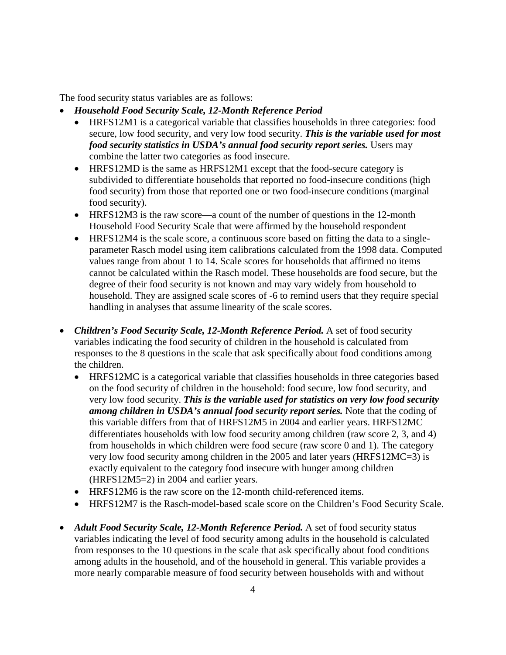The food security status variables are as follows:

- *Household Food Security Scale, 12-Month Reference Period*
	- HRFS12M1 is a categorical variable that classifies households in three categories: food secure, low food security, and very low food security. *This is the variable used for most food security statistics in USDA's annual food security report series.* Users may combine the latter two categories as food insecure.
	- HRFS12MD is the same as HRFS12M1 except that the food-secure category is subdivided to differentiate households that reported no food-insecure conditions (high food security) from those that reported one or two food-insecure conditions (marginal food security).
	- HRFS12M3 is the raw score—a count of the number of questions in the 12-month Household Food Security Scale that were affirmed by the household respondent
	- HRFS12M4 is the scale score, a continuous score based on fitting the data to a singleparameter Rasch model using item calibrations calculated from the 1998 data. Computed values range from about 1 to 14. Scale scores for households that affirmed no items cannot be calculated within the Rasch model. These households are food secure, but the degree of their food security is not known and may vary widely from household to household. They are assigned scale scores of -6 to remind users that they require special handling in analyses that assume linearity of the scale scores.
- *Children's Food Security Scale, 12-Month Reference Period.* A set of food security variables indicating the food security of children in the household is calculated from responses to the 8 questions in the scale that ask specifically about food conditions among the children.
	- HRFS12MC is a categorical variable that classifies households in three categories based on the food security of children in the household: food secure, low food security, and very low food security. *This is the variable used for statistics on very low food security among children in USDA's annual food security report series.* Note that the coding of this variable differs from that of HRFS12M5 in 2004 and earlier years. HRFS12MC differentiates households with low food security among children (raw score 2, 3, and 4) from households in which children were food secure (raw score 0 and 1). The category very low food security among children in the 2005 and later years (HRFS12MC=3) is exactly equivalent to the category food insecure with hunger among children (HRFS12M5=2) in 2004 and earlier years.
	- HRFS12M6 is the raw score on the 12-month child-referenced items.
	- HRFS12M7 is the Rasch-model-based scale score on the Children's Food Security Scale.
- *Adult Food Security Scale, 12-Month Reference Period.* A set of food security status variables indicating the level of food security among adults in the household is calculated from responses to the 10 questions in the scale that ask specifically about food conditions among adults in the household, and of the household in general. This variable provides a more nearly comparable measure of food security between households with and without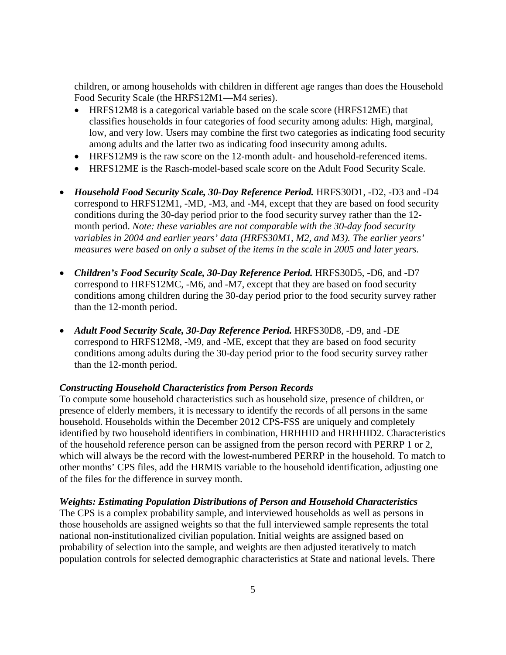children, or among households with children in different age ranges than does the Household Food Security Scale (the HRFS12M1—M4 series).

- HRFS12M8 is a categorical variable based on the scale score (HRFS12ME) that classifies households in four categories of food security among adults: High, marginal, low, and very low. Users may combine the first two categories as indicating food security among adults and the latter two as indicating food insecurity among adults.
- HRFS12M9 is the raw score on the 12-month adult- and household-referenced items.
- HRFS12ME is the Rasch-model-based scale score on the Adult Food Security Scale.
- *Household Food Security Scale, 30-Day Reference Period.* HRFS30D1, -D2, -D3 and -D4 correspond to HRFS12M1, -MD, -M3, and -M4, except that they are based on food security conditions during the 30-day period prior to the food security survey rather than the 12 month period. *Note: these variables are not comparable with the 30-day food security variables in 2004 and earlier years' data (HRFS30M1, M2, and M3). The earlier years' measures were based on only a subset of the items in the scale in 2005 and later years.*
- *Children's Food Security Scale, 30-Day Reference Period.* HRFS30D5, -D6, and -D7 correspond to HRFS12MC, -M6, and -M7, except that they are based on food security conditions among children during the 30-day period prior to the food security survey rather than the 12-month period.
- *Adult Food Security Scale, 30-Day Reference Period.* HRFS30D8, -D9, and -DE correspond to HRFS12M8, -M9, and -ME, except that they are based on food security conditions among adults during the 30-day period prior to the food security survey rather than the 12-month period.

### *Constructing Household Characteristics from Person Records*

To compute some household characteristics such as household size, presence of children, or presence of elderly members, it is necessary to identify the records of all persons in the same household. Households within the December 2012 CPS-FSS are uniquely and completely identified by two household identifiers in combination, HRHHID and HRHHID2. Characteristics of the household reference person can be assigned from the person record with PERRP 1 or 2, which will always be the record with the lowest-numbered PERRP in the household. To match to other months' CPS files, add the HRMIS variable to the household identification, adjusting one of the files for the difference in survey month.

### *Weights: Estimating Population Distributions of Person and Household Characteristics*

The CPS is a complex probability sample, and interviewed households as well as persons in those households are assigned weights so that the full interviewed sample represents the total national non-institutionalized civilian population. Initial weights are assigned based on probability of selection into the sample, and weights are then adjusted iteratively to match population controls for selected demographic characteristics at State and national levels. There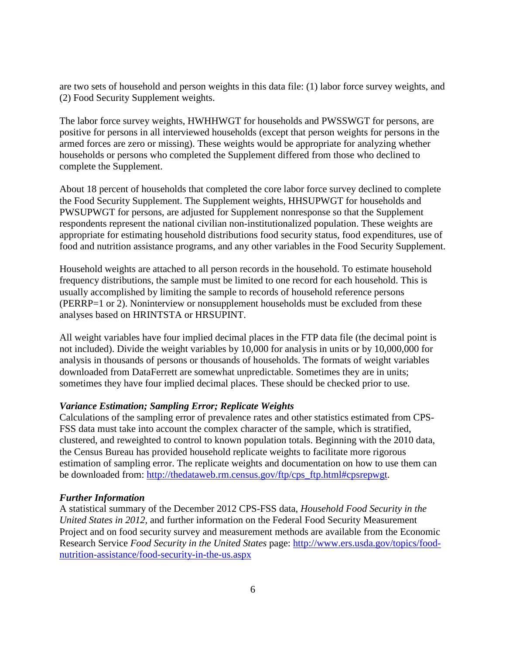are two sets of household and person weights in this data file: (1) labor force survey weights, and (2) Food Security Supplement weights.

The labor force survey weights, HWHHWGT for households and PWSSWGT for persons, are positive for persons in all interviewed households (except that person weights for persons in the armed forces are zero or missing). These weights would be appropriate for analyzing whether households or persons who completed the Supplement differed from those who declined to complete the Supplement.

About 18 percent of households that completed the core labor force survey declined to complete the Food Security Supplement. The Supplement weights, HHSUPWGT for households and PWSUPWGT for persons, are adjusted for Supplement nonresponse so that the Supplement respondents represent the national civilian non-institutionalized population. These weights are appropriate for estimating household distributions food security status, food expenditures, use of food and nutrition assistance programs, and any other variables in the Food Security Supplement.

Household weights are attached to all person records in the household. To estimate household frequency distributions, the sample must be limited to one record for each household. This is usually accomplished by limiting the sample to records of household reference persons (PERRP=1 or 2). Noninterview or nonsupplement households must be excluded from these analyses based on HRINTSTA or HRSUPINT.

All weight variables have four implied decimal places in the FTP data file (the decimal point is not included). Divide the weight variables by 10,000 for analysis in units or by 10,000,000 for analysis in thousands of persons or thousands of households. The formats of weight variables downloaded from DataFerrett are somewhat unpredictable. Sometimes they are in units; sometimes they have four implied decimal places. These should be checked prior to use.

### *Variance Estimation; Sampling Error; Replicate Weights*

Calculations of the sampling error of prevalence rates and other statistics estimated from CPS-FSS data must take into account the complex character of the sample, which is stratified, clustered, and reweighted to control to known population totals. Beginning with the 2010 data, the Census Bureau has provided household replicate weights to facilitate more rigorous estimation of sampling error. The replicate weights and documentation on how to use them can be downloaded from: [http://thedataweb.rm.census.gov/ftp/cps\\_ftp.html#cpsrepwgt.](http://thedataweb.rm.census.gov/ftp/cps_ftp.html#cpsrepwgt)

#### *Further Information*

A statistical summary of the December 2012 CPS-FSS data, *Household Food Security in the United States in 2012,* and further information on the Federal Food Security Measurement Project and on food security survey and measurement methods are available from the Economic Research Service *Food Security in the United States* page: [http://www.ers.usda.gov/topics/food](http://www.ers.usda.gov/topics/food-nutrition-assistance/food-security-in-the-us.aspx)[nutrition-assistance/food-security-in-the-us.aspx](http://www.ers.usda.gov/topics/food-nutrition-assistance/food-security-in-the-us.aspx)